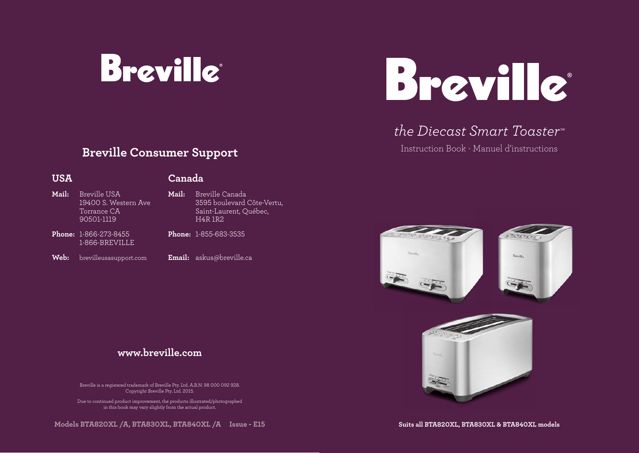



## *the Diecast Smart Toaster™*

Instruction Book - Manuel d'instructions

## **Breville Consumer Support**

### **USA**

### **Canada**

| Mail: | Breville USA<br>19400 S. Western Ave<br>Torrance CA<br>90501-1119 | Mail: | Breville Canada<br>3595 boulevard Côte-Vertu,<br>Saint-Laurent, Québec,<br><b>H4R 1R2</b> |
|-------|-------------------------------------------------------------------|-------|-------------------------------------------------------------------------------------------|
|       | <b>Phone: 1-866-273-8455</b><br>1-866-BREVILLE                    |       | <b>Phone: 1-855-683-3535</b>                                                              |

- **Web:** brevilleusasupport.com
- **Email:** askus@breville.ca

### **www.breville.com**

Breville is a registered trademark of Breville Pty. Ltd. 2015. In 1988. In 1988. In 1988. In 1988. In 1988. In Breville is a registered trademark of Breville Pty. Ltd. A.B.N. 98 000 092 928.

Due to continued product improvement, the products illustrated/photographed in this book may vary slightly from the actual product.  $\blacksquare$ 

**Models BTA820XL /A, BTA830XL, BTA840XL /A Issue - E15**



**Suits all BTA820XL, BTA830XL & BTA840XL models**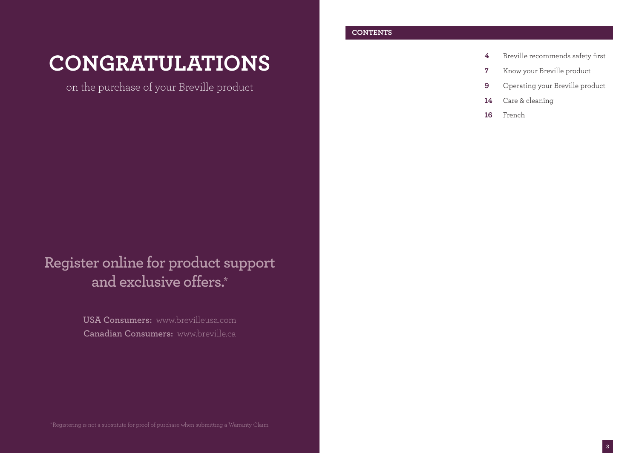# **CONGRATULATIONS**

on the purchase of your Breville product

## **Register online for product support and exclusive offers.\***

**USA Consumers:** www.brevilleusa.com **Canadian Consumers:** www.breville.ca

### **CONTENTS**

- **4** Breville recommends safety first
- **7** Know your Breville product
- **9** Operating your Breville product
- **14** Care & cleaning
- **16** French

\*Registering is not a substitute for proof of purchase when submitting a Warranty Claim.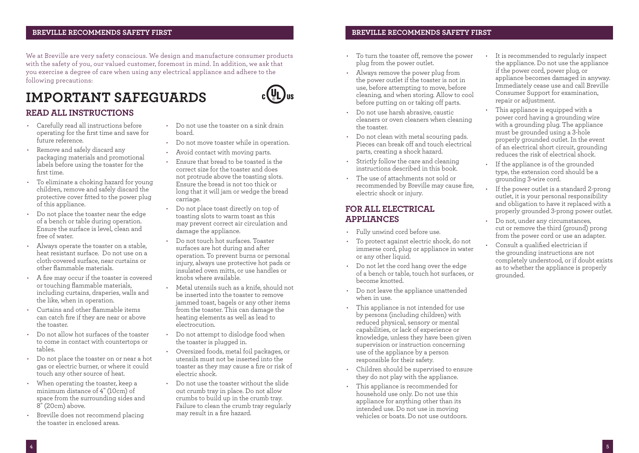### **BREVILLE RECOMMENDS SAFETY FIRST PAGE HEADER..... BREVILLE RECOMMENDS SAFETY FIRST**

We at Breville are very safety conscious. We design and manufacture consumer products with the safety of you, our valued customer, foremost in mind. In addition, we ask that you exercise a degree of care when using any electrical appliance and adhere to the following precautions:

## **IMPORTANT SAFEGUARDS**



### **READ ALL INSTRUCTIONS**

- Carefully read all instructions before operating for the first time and save for future reference.
- Remove and safely discard any packaging materials and promotional labels before using the toaster for the first time.
- To eliminate a choking hazard for young children, remove and safely discard the protective cover fitted to the power plug of this appliance.
- Do not place the toaster near the edge of a bench or table during operation. Ensure the surface is level, clean and free of water.
- Always operate the toaster on a stable, heat resistant surface. Do not use on a cloth-covered surface, near curtains or other flammable materials.
- A fire may occur if the toaster is covered or touching flammable materials, including curtains, draperies, walls and the like, when in operation.
- Curtains and other flammable items can catch fire if they are near or above the toaster.
- Do not allow hot surfaces of the toaster to come in contact with countertops or tables.
- Do not place the toaster on or near a hot gas or electric burner, or where it could touch any other source of heat.
- When operating the toaster, keep a minimum distance of 4" (10cm) of space from the surrounding sides and 8" (20cm) above.
- Breville does not recommend placing the toaster in enclosed areas.
- Do not use the toaster on a sink drain board.
- Do not move toaster while in operation.
- Avoid contact with moving parts.
- Ensure that bread to be toasted is the correct size for the toaster and does not protrude above the toasting slots. Ensure the bread is not too thick or long that it will jam or wedge the bread carriage.
- Do not place toast directly on top of toasting slots to warm toast as this may prevent correct air circulation and damage the appliance.
- Do not touch hot surfaces. Toaster surfaces are hot during and after operation. To prevent burns or personal injury, always use protective hot pads or insulated oven mitts, or use handles or knobs where available.
- Metal utensils such as a knife, should not be inserted into the toaster to remove jammed toast, bagels or any other items from the toaster. This can damage the heating elements as well as lead to electrocution.
- Do not attempt to dislodge food when the toaster is plugged in.
- Oversized foods, metal foil packages, or utensils must not be inserted into the toaster as they may cause a fire or risk of electric shock.
- Do not use the toaster without the slide out crumb tray in place. Do not allow crumbs to build up in the crumb tray. Failure to clean the crumb tray regularly may result in a fire hazard.

- To turn the toaster off, remove the power plug from the power outlet.
- Always remove the power plug from the power outlet if the toaster is not in use, before attempting to move, before cleaning, and when storing. Allow to cool before putting on or taking off parts.
- Do not use harsh abrasive, caustic cleaners or oven cleaners when cleaning the toaster.
- Do not clean with metal scouring pads. Pieces can break off and touch electrical parts, creating a shock hazard.
- Strictly follow the care and cleaning instructions described in this book.
- The use of attachments not sold or recommended by Breville may cause fire, electric shock or injury.

### **FOR ALL ELECTRICAL APPLIANCES**

- Fully unwind cord before use.
- To protect against electric shock, do not immerse cord, plug or appliance in water or any other liquid.
- Do not let the cord hang over the edge of a bench or table, touch hot surfaces, or become knotted.
- Do not leave the appliance unattended when in use.
- This appliance is not intended for use by persons (including children) with reduced physical, sensory or mental capabilities, or lack of experience or knowledge, unless they have been given supervision or instruction concerning use of the appliance by a person responsible for their safety.
- Children should be supervised to ensure they do not play with the appliance.
- This appliance is recommended for household use only. Do not use this appliance for anything other than its intended use. Do not use in moving vehicles or boats. Do not use outdoors.
- It is recommended to regularly inspect the appliance. Do not use the appliance if the power cord, power plug, or appliance becomes damaged in anyway. Immediately cease use and call Breville Consumer Support for examination, repair or adjustment.
- This appliance is equipped with a power cord having a grounding wire with a grounding plug. The appliance must be grounded using a 3-hole properly grounded outlet. In the event of an electrical short circuit, grounding reduces the risk of electrical shock.
- If the appliance is of the grounded type, the extension cord should be a grounding 3-wire cord.
- If the power outlet is a standard 2-prong outlet, it is your personal responsibility and obligation to have it replaced with a properly grounded 3-prong power outlet.
- Do not, under any circumstances, cut or remove the third (ground) prong from the power cord or use an adapter.
- Consult a qualified electrician if the grounding instructions are not completely understood, or if doubt exists as to whether the appliance is properly grounded.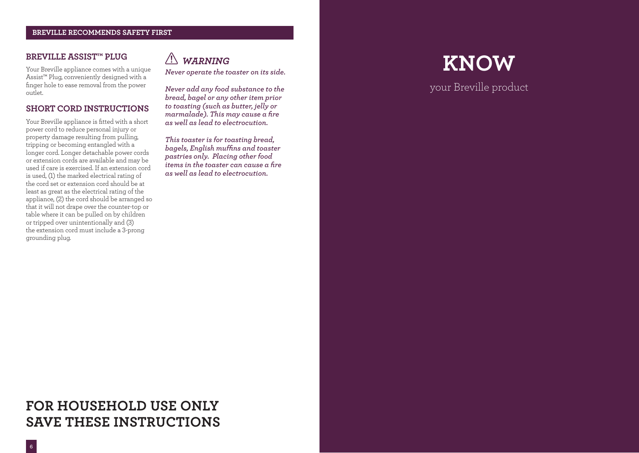### **BREVILLE RECOMMENDS SAFETY FIRST**

### **BREVILLE ASSIST™ PLUG**

Your Breville appliance comes with a unique Assist™ Plug, conveniently designed with a finger hole to ease removal from the power outlet.

### **SHORT CORD INSTRUCTIONS**

Your Breville appliance is fitted with a short power cord to reduce personal injury or property damage resulting from pulling, tripping or becoming entangled with a longer cord. Longer detachable power cords or extension cords are available and may be used if care is exercised. If an extension cord is used, (1) the marked electrical rating of the cord set or extension cord should be at least as great as the electrical rating of the appliance, (2) the cord should be arranged so that it will not drape over the counter-top or table where it can be pulled on by children or tripped over unintentionally and (3) the extension cord must include a 3-prong grounding plug.

## *WARNING*

*Never operate the toaster on its side.*

*Never add any food substance to the bread, bagel or any other item prior to toasting (such as butter, jelly or marmalade). This may cause a fire as well as lead to electrocution.*

*This toaster is for toasting bread, bagels, English muffins and toaster pastries only. Placing other food items in the toaster can cause a fire as well as lead to electrocution.*

# **KNOW**

your Breville product

## **FOR HOUSEHOLD USE ONLY SAVE THESE INSTRUCTIONS**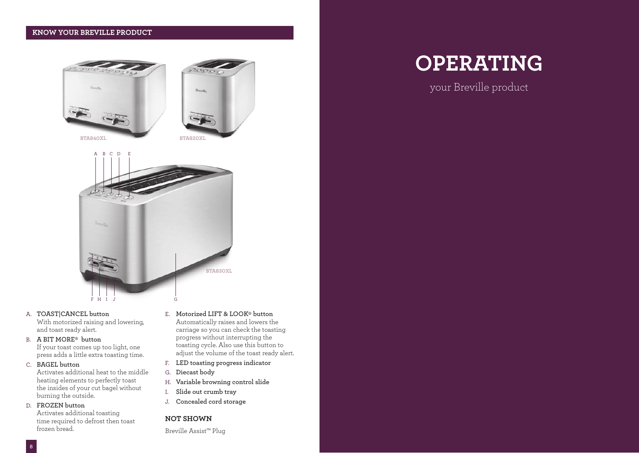### **KNOW YOUR BREVILLE PRODUCT**







### A. **TOAST|CANCEL button**

With motorized raising and lowering, and toast ready alert.

B. **A BIT MORE‰ button**

If your toast comes up too light, one press adds a little extra toasting time.

### C. **BAGEL button**

Activates additional heat to the middle heating elements to perfectly toast the insides of your cut bagel without burning the outside.

### D. **FROZEN button**

**8**

Activates additional toasting time required to defrost then toast frozen bread.

- E. **Motorized LIFT & LOOK‰ button** Automatically raises and lowers the carriage so you can check the toasting progress without interrupting the toasting cycle. Also use this button to adjust the volume of the toast ready alert.
- F. **LED toasting progress indicator**
- G. **Diecast body**
- H. **Variable browning control slide**
- I. **Slide out crumb tray**
- J. **Concealed cord storage**

### **NOT SHOWN**

Breville Assist™ Plug

## **OPERATING**

your Breville product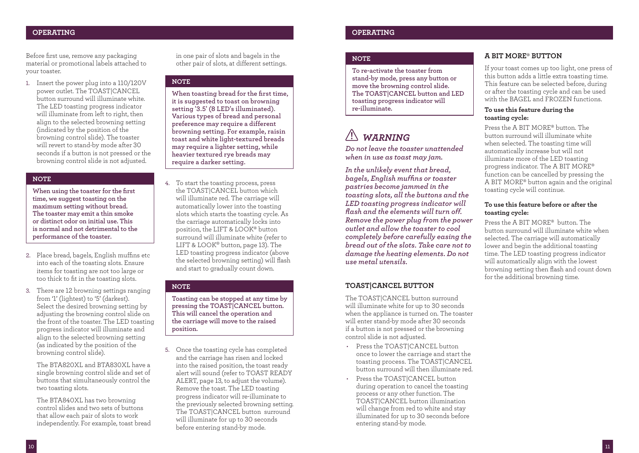Before first use, remove any packaging material or promotional labels attached to your toaster.

1. Insert the power plug into a 110/120V power outlet. The TOAST|CANCEL button surround will illuminate white. The LED toasting progress indicator will illuminate from left to right, then align to the selected browning setting (indicated by the position of the browning control slide). The toaster will revert to stand-by mode after 30 seconds if a button is not pressed or the browning control slide is not adjusted.

### **NOTE**

**When using the toaster for the first time, we suggest toasting on the maximum setting without bread. The toaster may emit a thin smoke or distinct odor on initial use. This is normal and not detrimental to the performance of the toaster.**

- 2. Place bread, bagels, English muffins etc into each of the toasting slots. Ensure items for toasting are not too large or too thick to fit in the toasting slots.
- 3. There are 12 browning settings ranging from '1' (lightest) to '5' (darkest). Select the desired browning setting by adjusting the browning control slide on the front of the toaster. The LED toasting progress indicator will illuminate and align to the selected browning setting (as indicated by the position of the browning control slide).

The BTA820XL and BTA830XL have a single browning control slide and set of buttons that simultaneously control the two toasting slots.

The BTA840XL has two browning control slides and two sets of buttons that allow each pair of slots to work independently. For example, toast bread in one pair of slots and bagels in the other pair of slots, at different settings.

### **NOTE**

**When toasting bread for the first time, it is suggested to toast on browning setting '3.5' (8 LED's illuminated). Various types of bread and personal preference may require a different browning setting. For example, raisin toast and white light-textured breads may require a lighter setting, while heavier textured rye breads may require a darker setting.**

4. To start the toasting process, press the TOAST|CANCEL button which will illuminate red. The carriage will automatically lower into the toasting slots which starts the toasting cycle. As the carriage automatically locks into position, the LIFT & LOOK‰ button surround will illuminate white (refer to LIFT & LOOK® button, page 13). The LED toasting progress indicator (above the selected browning setting) will flash and start to gradually count down.

### **NOTE**

**Toasting can be stopped at any time by pressing the TOAST|CANCEL button. This will cancel the operation and the carriage will move to the raised position.**

5. Once the toasting cycle has completed and the carriage has risen and locked into the raised position, the toast ready alert will sound (refer to TOAST READY ALERT, page 13, to adjust the volume). Remove the toast. The LED toasting progress indicator will re-illuminate to the previously selected browning setting. The TOAST|CANCEL button surround will illuminate for up to 30 seconds before entering stand-by mode.

### **PAGE HEADER..... OPERATING PAGE HEADER..... OPERATING**

### **NOTE**

**To re-activate the toaster from stand-by mode, press any button or move the browning control slide. The TOAST|CANCEL button and LED toasting progress indicator will re-illuminate.** 

## *WARNING*

*Do not leave the toaster unattended when in use as toast may jam.*

*In the unlikely event that bread, bagels, English muffins or toaster pastries become jammed in the toasting slots, all the buttons and the LED toasting progress indicator will flash and the elements will turn off. Remove the power plug from the power outlet and allow the toaster to cool completely before carefully easing the bread out of the slots. Take care not to damage the heating elements. Do not use metal utensils.*

### **TOAST|CANCEL BUTTON**

The TOAST|CANCEL button surround will illuminate white for up to 30 seconds when the appliance is turned on. The toaster will enter stand-by mode after 30 seconds if a button is not pressed or the browning control slide is not adjusted.

- Press the TOAST|CANCEL button once to lower the carriage and start the toasting process. The TOAST|CANCEL button surround will then illuminate red.
- Press the TOAST|CANCEL button during operation to cancel the toasting process or any other function. The TOAST|CANCEL button illumination will change from red to white and stay illuminated for up to 30 seconds before entering stand-by mode.

### **A BIT MORE‰ BUTTON**

If your toast comes up too light, one press of this button adds a little extra toasting time. This feature can be selected before, during or after the toasting cycle and can be used with the BAGEL and FROZEN functions.

### **To use this feature during the toasting cycle:**

Press the A BIT MORE‰ button. The button surround will illuminate white when selected. The toasting time will automatically increase but will not illuminate more of the LED toasting progress indicator. The A BIT MORE‰ function can be cancelled by pressing the A BIT MORE‰ button again and the original toasting cycle will continue.

### **To use this feature before or after the toasting cycle:**

Press the A BIT MORE<sup>®</sup> button. The button surround will illuminate white when selected. The carriage will automatically lower and begin the additional toasting time. The LED toasting progress indicator will automatically align with the lowest browning setting then flash and count down for the additional browning time.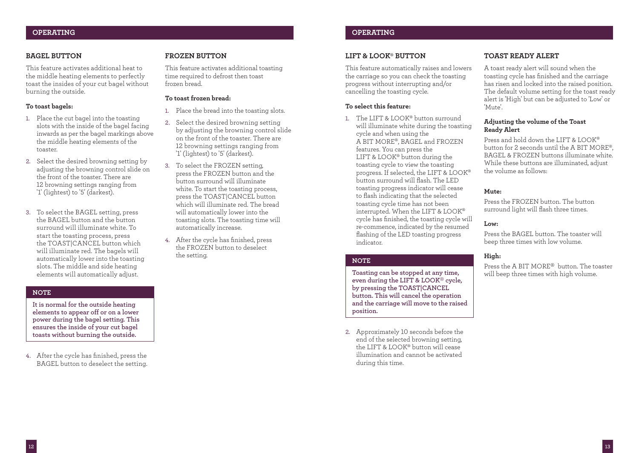### **PAGE HEADER..... OPERATING PAGE HEADER..... OPERATING**

### **BAGEL BUTTON**

This feature activates additional heat to the middle heating elements to perfectly toast the insides of your cut bagel without burning the outside.

### **To toast bagels:**

- 1. Place the cut bagel into the toasting slots with the inside of the bagel facing inwards as per the bagel markings above the middle heating elements of the toaster.
- 2. Select the desired browning setting by adjusting the browning control slide on the front of the toaster. There are 12 browning settings ranging from '1' (lightest) to '5' (darkest).
- 3. To select the BAGEL setting, press the BAGEL button and the button surround will illuminate white. To start the toasting process, press the TOAST|CANCEL button which will illuminate red. The bagels will automatically lower into the toasting slots. The middle and side heating elements will automatically adjust.

### **NOTE**

**It is normal for the outside heating elements to appear off or on a lower power during the bagel setting. This ensures the inside of your cut bagel toasts without burning the outside.**

4. After the cycle has finished, press the BAGEL button to deselect the setting.

### **FROZEN BUTTON**

This feature activates additional toasting time required to defrost then toast frozen bread.

### **To toast frozen bread:**

- 1. Place the bread into the toasting slots.
- 2. Select the desired browning setting by adjusting the browning control slide on the front of the toaster. There are 12 browning settings ranging from '1' (lightest) to '5' (darkest).
- 3. To select the FROZEN setting, press the FROZEN button and the button surround will illuminate white. To start the toasting process, press the TOAST|CANCEL button which will illuminate red. The bread will automatically lower into the toasting slots. The toasting time will automatically increase.
- 4. After the cycle has finished, press the FROZEN button to deselect the setting.

### **LIFT & LOOK‰ BUTTON**

This feature automatically raises and lowers the carriage so you can check the toasting progress without interrupting and/or cancelling the toasting cycle.

### **To select this feature:**

1. The LIFT & LOOK® button surround will illuminate white during the toasting cycle and when using the A BIT MORE‰, BAGEL and FROZEN features. You can press the LIFT & LOOK® button during the toasting cycle to view the toasting progress. If selected, the LIFT & LOOK‰ button surround will flash. The LED toasting progress indicator will cease to flash indicating that the selected toasting cycle time has not been interrupted. When the LIFT & LOOK‰ cycle has finished, the toasting cycle will re-commence, indicated by the resumed flashing of the LED toasting progress indicator.

### **NOTE**

**Toasting can be stopped at any time, even during the LIFT & LOOK**‰ **cycle, by pressing the TOAST|CANCEL button. This will cancel the operation and the carriage will move to the raised position.**

2. Approximately 10 seconds before the end of the selected browning setting, the LIFT & LOOK‰ button will cease illumination and cannot be activated during this time.

### **TOAST READY ALERT**

A toast ready alert will sound when the toasting cycle has finished and the carriage has risen and locked into the raised position. The default volume setting for the toast ready alert is 'High' but can be adjusted to 'Low' or 'Mute'.

### **Adjusting the volume of the Toast Ready Alert**

Press and hold down the LIFT & LOOK‰ button for 2 seconds until the A BIT MORE‰, BAGEL & FROZEN buttons illuminate white. While these buttons are illuminated, adjust the volume as follows:

### **Mute:**

Press the FROZEN button. The button surround light will flash three times.

### **Low:**

Press the BAGEL button. The toaster will beep three times with low volume.

### **High:**

Press the A BIT MORE‰ button. The toaster will beep three times with high volume.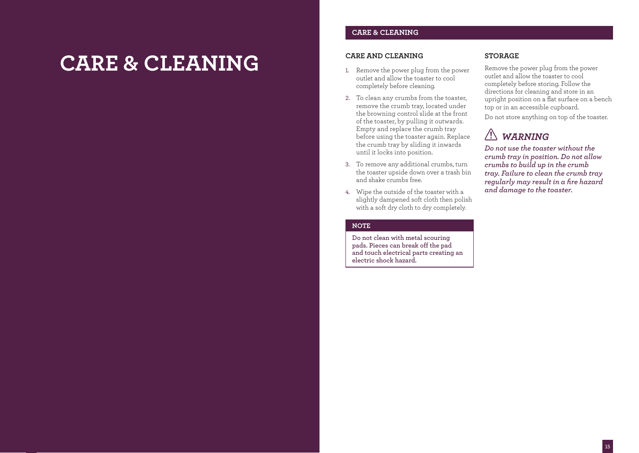# **CARE & CLEANING**

### **CARE & CLEANING**

### **CARE AND CLEANING**

- 1. Remove the power plug from the power outlet and allow the toaster to cool completely before cleaning.
- 2. To clean any crumbs from the toaster, remove the crumb tray, located under the browning control slide at the front of the toaster, by pulling it outwards. Empty and replace the crumb tray before using the toaster again. Replace the crumb tray by sliding it inwards until it locks into position.
- 3. To remove any additional crumbs, turn the toaster upside down over a trash bin and shake crumbs free.
- 4. Wipe the outside of the toaster with a slightly dampened soft cloth then polish with a soft dry cloth to dry completely.

### **NOTE**

**Do not clean with metal scouring pads. Pieces can break off the pad and touch electrical parts creating an electric shock hazard.**

### **STORAGE**

Remove the power plug from the power outlet and allow the toaster to cool completely before storing. Follow the directions for cleaning and store in an upright position on a flat surface on a bench top or in an accessible cupboard.

Do not store anything on top of the toaster.

## *WARNING*

*Do not use the toaster without the crumb tray in position. Do not allow crumbs to build up in the crumb tray. Failure to clean the crumb tray regularly may result in a fire hazard and damage to the toaster.*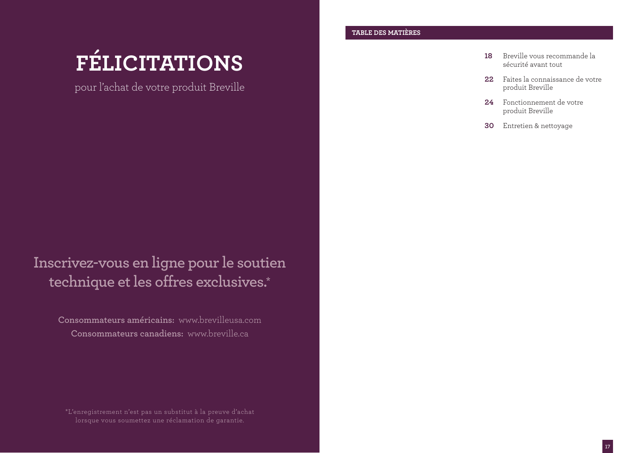# **FÉLICITATIONS**

pour l'achat de votre produit Breville

**Inscrivez-vous en ligne pour le soutien technique et les offres exclusives.\***

**Consommateurs américains:** www.brevilleusa.com **Consommateurs canadiens:** www.breville.ca

\*L'enregistrement n'est pas un substitut à la preuve d'achat lorsque vous soumettez une réclamation de garantie.

### **TABLE DES MATIÈRES**

- **18** Breville vous recommande la sécurité avant tout
- **22** Faites la connaissance de votre produit Breville
- **24** Fonctionnement de votre produit Breville
- **30** Entretien & nettoyage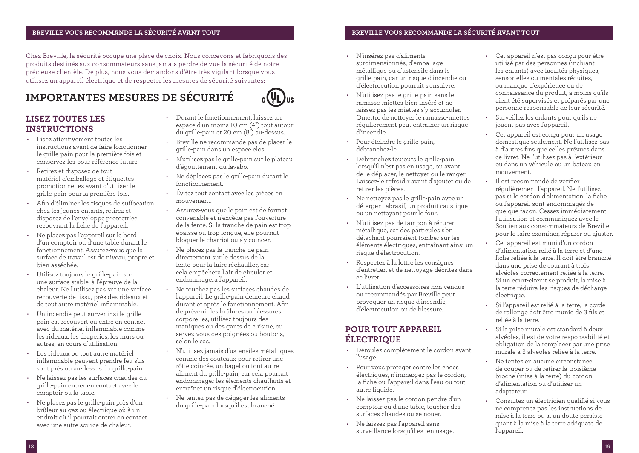### **BREVILLE VOUS RECOMMANDE LA SÉCURITÉ AVANT TOUT**

Chez Breville, la sécurité occupe une place de choix. Nous concevons et fabriquons des produits destinés aux consommateurs sans jamais perdre de vue la sécurité de notre précieuse clientèle. De plus, nous vous demandons d'être très vigilant lorsque vous utilisez un appareil électrique et de respecter les mesures de sécurité suivantes:

## **IMPORTANTES MESURES DE SÉCURITÉ**



### **LISEZ TOUTES LES INSTRUCTIONS**

- Lisez attentivement toutes les instructions avant de faire fonctionner le grille-pain pour la première fois et conservez-les pour référence future.
- Retirez et disposez de tout matériel d'emballage et étiquettes promotionnelles avant d'utiliser le grille-pain pour la première fois.
- Afin d'éliminer les risques de suffocation chez les jeunes enfants, retirez et disposez de l'enveloppe protectrice recouvrant la fiche de l'appareil.
- Ne placez pas l'appareil sur le bord d'un comptoir ou d'une table durant le fonctionnement. Assurez-vous que la surface de travail est de niveau, propre et bien asséchée.
- Utilisez toujours le grille-pain sur une surface stable, à l'épreuve de la chaleur. Ne l'utilisez pas sur une surface recouverte de tissu, près des rideaux et de tout autre matériel inflammable.
- Un incendie peut survenir si le grillepain est recouvert ou entre en contact avec du matériel inflammable comme les rideaux, les draperies, les murs ou autres, en cours d'utilisation.
- Les rideaux ou tout autre matériel inflammable peuvent prendre feu s'ils sont près ou au-dessus du grille-pain.
- Ne laissez pas les surfaces chaudes du grille-pain entrer en contact avec le comptoir ou la table.
- Ne placez pas le grille-pain près d'un brûleur au gaz ou électrique où à un endroit où il pourrait entrer en contact avec une autre source de chaleur.
- Durant le fonctionnement, laissez un espace d'un moins 10 cm (4") tout autour du grille-pain et 20 cm (8") au-dessus.
- Breville ne recommande pas de placer le grille-pain dans un espace clos.
- N'utilisez pas le grille-pain sur le plateau d'égouttement du lavabo.
- Ne déplacez pas le grille-pain durant le fonctionnement.
- Évitez tout contact avec les pièces en mouvement.
- Assurez-vous que le pain est de format convenable et n'excède pas l'ouverture de la fente. Si la tranche de pain est trop épaisse ou trop longue, elle pourrait bloquer le charriot ou s'y coincer.
- Ne placez pas la tranche de pain directement sur le dessus de la fente pour la faire réchauffer, car cela empêchera l'air de circuler et endommagera l'appareil.
- Ne touchez pas les surfaces chaudes de l'appareil. Le grille-pain demeure chaud durant et après le fonctionnement. Afin de prévenir les brûlures ou blessures corporelles, utilisez toujours des maniques ou des gants de cuisine, ou servez-vous des poignées ou boutons, selon le cas.
- N'utilisez jamais d'ustensiles métalliques comme des couteaux pour retirer une rôtie coincée, un bagel ou tout autre aliment du grille-pain, car cela pourrait endommager les éléments chauffants et entraîner un risque d'électrocution.
- Ne tentez pas de dégager les aliments du grille-pain lorsqu'il est branché.

### **BREVILLE VOUS RECOMMANDE LA SÉCURITÉ AVANT TOUT**

- N'insérez pas d'aliments surdimensionnés, d'emballage métallique ou d'ustensile dans le grille-pain, car un risque d'incendie ou d'électrocution pourrait s'ensuivre.
- N'utilisez pas le grille-pain sans le ramasse-miettes bien inséré et ne laissez pas les miettes s'y accumuler. Omettre de nettoyer le ramasse-miettes régulièrement peut entraîner un risque d'incendie.
- Pour éteindre le grille-pain, débranchez-le.
- Débranchez toujours le grille-pain lorsqu'il n'est pas en usage, ou avant de le déplacer, le nettoyer ou le ranger. Laissez-le refroidir avant d'ajouter ou de retirer les pièces.
- Ne nettoyez pas le grille-pain avec un détergent abrasif, un produit caustique ou un nettoyant pour le four.
- N'utilisez pas de tampon à récurer métallique, car des particules s'en détachant pourraient tomber sur les éléments électriques, entraînant ainsi un risque d'électrocution.
- Respectez à la lettre les consignes d'entretien et de nettoyage décrites dans ce livret.
- L'utilisation d'accessoires non vendus ou recommandés par Breville peut provoquer un risque d'incendie, d'électrocution ou de blessure.

### **POUR TOUT APPAREIL ÉLECTRIQUE**

- Déroulez complètement le cordon avant l'usage.
- Pour vous protéger contre les chocs électriques, n'immergez pas le cordon, la fiche ou l'appareil dans l'eau ou tout autre liquide.
- Ne laissez pas le cordon pendre d'un comptoir ou d'une table, toucher des surfaces chaudes ou se nouer.
- Ne laissez pas l'appareil sans surveillance lorsqu'il est en usage.
- Cet appareil n'est pas conçu pour être utilisé par des personnes (incluant les enfants) avec facultés physiques, sensorielles ou mentales réduites, ou manque d'expérience ou de connaissance du produit, à moins qu'ils aient été supervisés et préparés par une personne responsable de leur sécurité.
- Surveillez les enfants pour qu'ils ne jouent pas avec l'appareil.
- Cet appareil est conçu pour un usage domestique seulement. Ne l'utilisez pas à d'autres fins que celles prévues dans ce livret. Ne l'utilisez pas à l'extérieur ou dans un véhicule ou un bateau en mouvement.
- Il est recommandé de vérifier régulièrement l'appareil. Ne l'utilisez pas si le cordon d'alimentation, la fiche ou l'appareil sont endommagés de quelque façon. Cessez immédiatement l'utilisation et communiquez avec le Soutien aux consommateurs de Breville pour le faire examiner, réparer ou ajuster.
- Cet appareil est muni d'un cordon d'alimentation relié à la terre et d'une fiche reliée à la terre. Il doit être branché dans une prise de courant à trois alvéoles correctement reliée à la terre. Si un court-circuit se produit, la mise à la terre réduira les risques de décharge électrique.
- Si l'appareil est relié à la terre, la corde de rallonge doit être munie de 3 fils et reliée à la terre.
- Si la prise murale est standard à deux alvéoles, il est de votre responsabilité et obligation de la remplacer par une prise murale à 3 alvéoles reliée à la terre.
- Ne tentez en aucune circonstance de couper ou de retirer la troisième broche (mise à la terre) du cordon d'alimentation ou d'utiliser un adaptateur.
- Consultez un électricien qualifié si vous ne comprenez pas les instructions de mise à la terre ou si un doute persiste quant à la mise à la terre adéquate de l'appareil.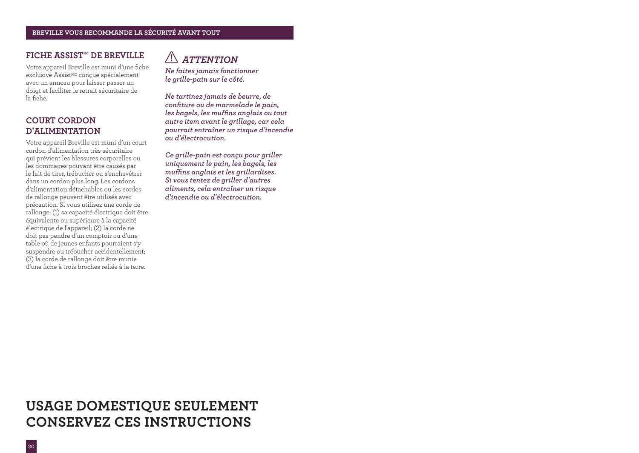### **FICHE ASSIST<sup>MC</sup> DE BREVILLE**

Votre appareil Breville est muni d'une fiche exclusive Assist<sup>MC</sup> conçue spécialement avec un anneau pour laisser passer un doigt et faciliter le retrait sécuritaire de la fiche.

### **COURT CORDON D'ALIMENTATION**

Votre appareil Breville est muni d'un court cordon d'alimentation très sécuritaire qui prévient les blessures corporelles ou les dommages pouvant être causés par le fait de tirer, trébucher ou s'enchevêtrer dans un cordon plus long. Les cordons d'alimentation détachables ou les cordes de rallonge peuvent être utilisés avec précaution. Si vous utilisez une corde de rallonge: (1) sa capacité électrique doit être équivalente ou supérieure à la capacité électrique de l'appareil; (2) la corde ne doit pas pendre d'un comptoir ou d'une table où de jeunes enfants pourraient s'y suspendre ou trébucher accidentellement; (3) la corde de rallonge doit être munie d'une fiche à trois broches reliée à la terre.

## *ATTENTION*

*Ne faites jamais fonctionner le grille-pain sur le côté.*

*Ne tartinez jamais de beurre, de confiture ou de marmelade le pain, les bagels, les muffins anglais ou tout autre item avant le grillage, car cela pourrait entraîner un risque d'incendie ou d'électrocution.*

*Ce grille-pain est conçu pour griller uniquement le pain, les bagels, les muffins anglais et les grillardises. Si vous tentez de griller d'autres aliments, cela entraîner un risque d'incendie ou d'électrocution.*

## **USAGE DOMESTIQUE SEULEMENT CONSERVEZ CES INSTRUCTIONS**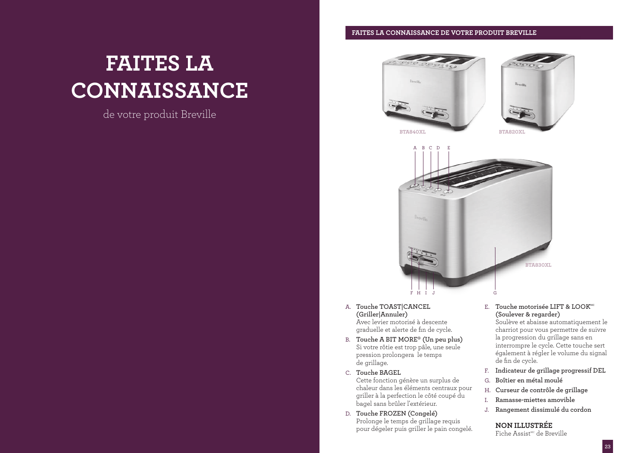# **FAITES LA CONNAISSANCE**

## de votre produit Breville

### **FAITES LA CONNAISSANCE DE VOTRE PRODUIT BREVILLE**





- A. **Touche TOAST|CANCEL (Griller|Annuler)** Avec levier motorisé à descente graduelle et alerte de fin de cycle.
- B. **Touche A BIT MORE‰ (Un peu plus)** Si votre rôtie est trop pâle, une seule pression prolongera le temps de grillage.
- C. **Touche BAGEL** Cette fonction génère un surplus de
	- chaleur dans les éléments centraux pour griller à la perfection le côté coupé du bagel sans brûler l'extérieur.
- D. **Touche FROZEN (Congelé)** Prolonge le temps de grillage requis pour dégeler puis griller le pain congelé.

### E. Touche motorisée LIFT & LOOK<sup>MC</sup> **(Soulever & regarder)**

Soulève et abaisse automatiquement le charriot pour vous permettre de suivre la progression du grillage sans en interrompre le cycle. Cette touche sert également à régler le volume du signal de fin de cycle.

- F. **Indicateur de grillage progressif DEL**
- G. **Boîtier en métal moulé**
- H. **Curseur de contrôle de grillage**
- I. **Ramasse-miettes amovible**
- J. **Rangement dissimulé du cordon**

### **NON ILLUSTRÉE**

Fiche Assist<sup>Mc</sup> de Breville

**23**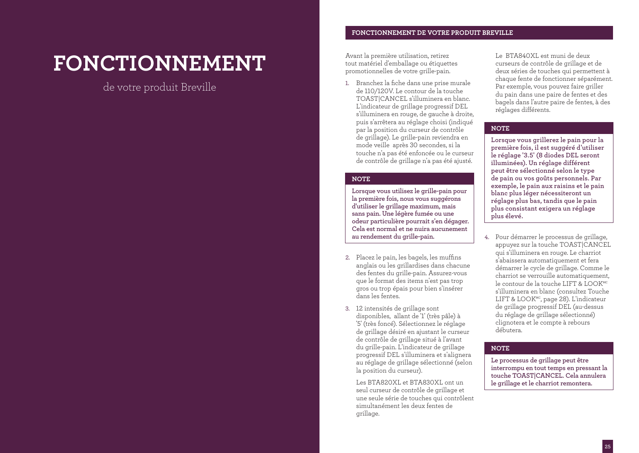# **FONCTIONNEMENT**

de votre produit Breville

### **FONCTIONNEMENT DE VOTRE PRODUIT BREVILLE**

Avant la première utilisation, retirez tout matériel d'emballage ou étiquettes promotionnelles de votre grille-pain.

1. Branchez la fiche dans une prise murale de 110/120V. Le contour de la touche TOAST|CANCEL s'illuminera en blanc. L'indicateur de grillage progressif DEL s'illuminera en rouge, de gauche à droite, puis s'arrêtera au réglage choisi (indiqué par la position du curseur de contrôle de grillage). Le grille-pain reviendra en mode veille après 30 secondes, si la touche n'a pas été enfoncée ou le curseur de contrôle de grillage n'a pas été ajusté.

### **NOTE**

**Lorsque vous utilisez le grille-pain pour la première fois, nous vous suggérons d'utiliser le grillage maximum, mais sans pain. Une légère fumée ou une odeur particulière pourrait s'en dégager. Cela est normal et ne nuira aucunement au rendement du grille-pain.**

- 2. Placez le pain, les bagels, les muffins anglais ou les grillardises dans chacune des fentes du grille-pain. Assurez-vous que le format des items n'est pas trop gros ou trop épais pour bien s'insérer dans les fentes.
- 3. 12 intensités de grillage sont disponibles, allant de '1' (très pâle) à '5' (très foncé). Sélectionnez le réglage de grillage désiré en ajustant le curseur de contrôle de grillage situé à l'avant du grille-pain. L'indicateur de grillage progressif DEL s'illuminera et s'alignera au réglage de grillage sélectionné (selon la position du curseur).
	- Les BTA820XL et BTA830XL ont un seul curseur de contrôle de grillage et une seule série de touches qui contrôlent simultanément les deux fentes de grillage.

Le BTA840XL est muni de deux curseurs de contrôle de grillage et de deux séries de touches qui permettent à chaque fente de fonctionner séparément. Par exemple, vous pouvez faire griller du pain dans une paire de fentes et des bagels dans l'autre paire de fentes, à des réglages différents.

### **NOTE**

**Lorsque vous grillerez le pain pour la première fois, il est suggéré d'utiliser le réglage '3.5' (8 diodes DEL seront illuminées). Un réglage différent peut être sélectionné selon le type de pain ou vos goûts personnels. Par exemple, le pain aux raisins et le pain blanc plus léger nécessiteront un réglage plus bas, tandis que le pain plus consistant exigera un réglage plus élevé.**

4. Pour démarrer le processus de grillage, appuyez sur la touche TOAST|CANCEL qui s'illuminera en rouge. Le charriot s'abaissera automatiquement et fera démarrer le cycle de grillage. Comme le charriot se verrouille automatiquement, le contour de la touche LIFT & LOOKMC s'illuminera en blanc (consultez Touche LIFT & LOOK<sup>MC</sup>, page 28). L'indicateur de grillage progressif DEL (au-dessus du réglage de grillage sélectionné) clignotera et le compte à rebours débutera.

### **NOTE**

**Le processus de grillage peut être interrompu en tout temps en pressant la touche TOAST|CANCEL. Cela annulera le grillage et le charriot remontera.**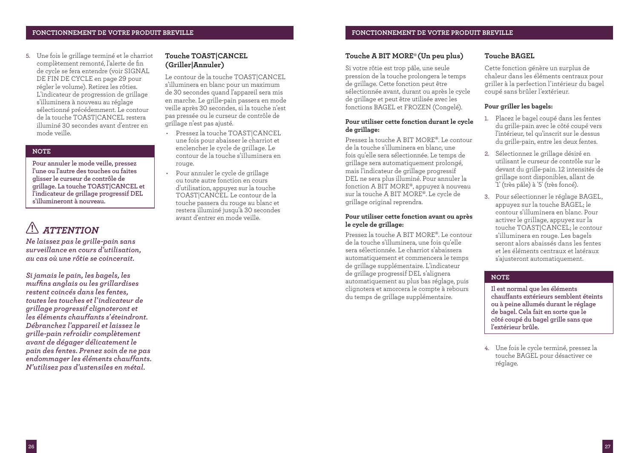5. Une fois le grillage terminé et le charriot complètement remonté, l'alerte de fin de cycle se fera entendre (voir SIGNAL DE FIN DE CYCLE en page 29 pour régler le volume). Retirez les rôties. L'indicateur de progression de grillage s'illuminera à nouveau au réglage sélectionné précédemment. Le contour de la touche TOAST|CANCEL restera illuminé 30 secondes avant d'entrer en mode veille.

### **NOTE**

**Pour annuler le mode veille, pressez l'une ou l'autre des touches ou faites glisser le curseur de contrôle de grillage. La touche TOAST|CANCEL et l'indicateur de grillage progressif DEL s'illumineront à nouveau.**

## *ATTENTION*

*Ne laissez pas le grille-pain sans surveillance en cours d'utilisation, au cas où une rôtie se coincerait.*

*Si jamais le pain, les bagels, les muffins anglais ou les grillardises restent coincés dans les fentes, toutes les touches et l'indicateur de grillage progressif clignoteront et les éléments chauffants s'éteindront. Débranchez l'appareil et laissez le grille-pain refroidir complètement avant de dégager délicatement le pain des fentes. Prenez soin de ne pas endommager les éléments chauffants. N'utilisez pas d'ustensiles en métal.*

### **Touche TOAST|CANCEL (Griller|Annuler)**

Le contour de la touche TOAST|CANCEL s'illuminera en blanc pour un maximum de 30 secondes quand l'appareil sera mis en marche. Le grille-pain passera en mode veille après 30 secondes, si la touche n'est pas pressée ou le curseur de contrôle de grillage n'est pas ajusté.

- Pressez la touche TOAST|CANCEL une fois pour abaisser le charriot et enclencher le cycle de grillage. Le contour de la touche s'illuminera en rouge.
- Pour annuler le cycle de grillage ou toute autre fonction en cours d'utilisation, appuyez sur la touche TOAST|CANCEL. Le contour de la touche passera du rouge au blanc et restera illuminé jusqu'à 30 secondes avant d'entrer en mode veille.

### **Touche A BIT MORE‰(Un peu plus)**

Si votre rôtie est trop pâle, une seule pression de la touche prolongera le temps de grillage. Cette fonction peut être sélectionnée avant, durant ou après le cycle de grillage et peut être utilisée avec les fonctions BAGEL et FROZEN (Congelé).

### **Pour utiliser cette fonction durant le cycle de grillage:**

Pressez la touche A BIT MORE‰. Le contour de la touche s'illuminera en blanc, une fois qu'elle sera sélectionnée. Le temps de grillage sera automatiquement prolongé, mais l'indicateur de grillage progressif DEL ne sera plus illuminé. Pour annuler la fonction A BIT MORE‰, appuyez à nouveau sur la touche A BIT MORE‰. Le cycle de grillage original reprendra.

### **Pour utiliser cette fonction avant ou après le cycle de grillage:**

Pressez la touche A BIT MORE‰. Le contour de la touche s'illuminera, une fois qu'elle sera sélectionnée. Le charriot s'abaissera automatiquement et commencera le temps de grillage supplémentaire. L'indicateur de grillage progressif DEL s'alignera automatiquement au plus bas réglage, puis clignotera et amorcera le compte à rebours du temps de grillage supplémentaire.

### **Touche BAGEL**

Cette fonction génère un surplus de chaleur dans les éléments centraux pour griller à la perfection l'intérieur du bagel coupé sans brûler l'extérieur.

### **Pour griller les bagels:**

- 1. Placez le bagel coupé dans les fentes du grille-pain avec le côté coupé vers l'intérieur, tel qu'inscrit sur le dessus du grille-pain, entre les deux fentes.
- 2. Sélectionnez le grillage désiré en utilisant le curseur de contrôle sur le devant du grille-pain. 12 intensités de grillage sont disponibles, allant de '1' (très pâle) à '5' (très foncé).
- 3. Pour sélectionner le réglage BAGEL, appuyez sur la touche BAGEL; le contour s'illuminera en blanc. Pour activer le grillage, appuyez sur la touche TOAST|CANCEL; le contour s'illuminera en rouge. Les bagels seront alors abaissés dans les fentes et les éléments centraux et latéraux s'ajusteront automatiquement.

### **NOTE**

**Il est normal que les éléments chauffants extérieurs semblent éteints ou à peine allumés durant le réglage de bagel. Cela fait en sorte que le côté coupé du bagel grille sans que l'extérieur brûle.** 

4. Une fois le cycle terminé, pressez la touche BAGEL pour désactiver ce réglage.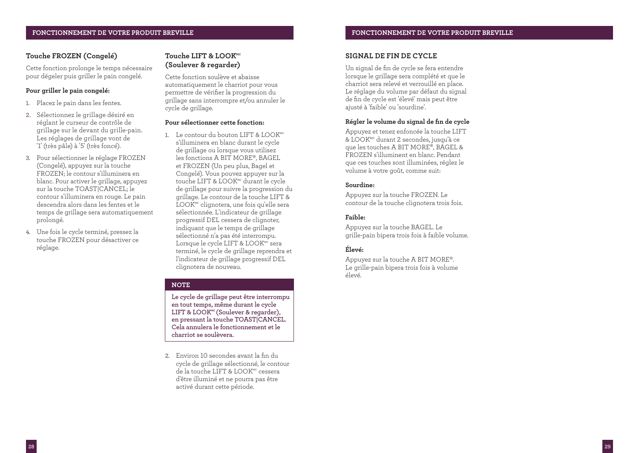### **FONCTIONNEMENT DE VOTRE PRODUIT BREVILLE**

### **Touche FROZEN (Congelé)**

Cette fonction prolonge le temps nécessaire pour dégeler puis griller le pain congelé.

### **Pour griller le pain congelé:**

- 1. Placez le pain dans les fentes.
- 2. Sélectionnez le grillage désiré en réglant le curseur de contrôle de grillage sur le devant du grille-pain. Les réglages de grillage vont de '1' (très pâle) à '5' (très foncé).
- 3. Pour sélectionner le réglage FROZEN (Congelé), appuyez sur la touche FROZEN; le contour s'illuminera en blanc. Pour activer le grillage, appuyez sur la touche TOAST|CANCEL; le contour s'illuminera en rouge. Le pain descendra alors dans les fentes et le temps de grillage sera automatiquement prolongé.
- 4. Une fois le cycle terminé, pressez la touche FROZEN pour désactiver ce réglage.

### Touche LIFT & LOOK<sup>MC</sup> **(Soulever & regarder)**

Cette fonction soulève et abaisse automatiquement le charriot pour vous permettre de vérifier la progression du grillage sans interrompre et/ou annuler le cycle de grillage.

### **Pour sélectionner cette fonction:**

1. Le contour du bouton LIFT & LOOK<sup>MC</sup> s'illuminera en blanc durant le cycle de grillage ou lorsque vous utilisez les fonctions A BIT MORE‰, BAGEL et FROZEN (Un peu plus, Bagel et Congelé). Vous pouvez appuyer sur la touche LIFT & LOOK<sup>MC</sup> durant le cycle de grillage pour suivre la progression du grillage. Le contour de la touche LIFT & LOOK<sup>Mc</sup> clignotera, une fois qu'elle sera sélectionnée. L'indicateur de grillage progressif DEL cessera de clignoter, indiquant que le temps de grillage sélectionné n'a pas été interrompu. Lorsque le cycle LIFT & LOOK<sup>MC</sup> sera terminé, le cycle de grillage reprendra et l'indicateur de grillage progressif DEL clignotera de nouveau.

### **NOTE**

**Le cycle de grillage peut être interrompu en tout temps, même durant le cycle**  LIFT & LOOK<sup>MC</sup> (Soulever & regarder), **en pressant la touche TOAST|CANCEL. Cela annulera le fonctionnement et le charriot se soulèvera.**

2. Environ 10 secondes avant la fin du cycle de grillage sélectionné, le contour de la touche LIFT & LOOK<sup>MC</sup> cessera d'être illuminé et ne pourra pas être activé durant cette période.

### **SIGNAL DE FIN DE CYCLE**

Un signal de fin de cycle se fera entendre lorsque le grillage sera complété et que le charriot sera relevé et verrouillé en place. Le réglage du volume par défaut du signal de fin de cycle est 'élevé' mais peut être ajusté à 'faible' ou 'sourdine'.

### **Régler le volume du signal de fin de cycle**

Appuyez et tenez enfoncée la touche LIFT & LOOKMC durant 2 secondes, jusqu'à ce que les touches A BIT MORE‰, BAGEL & FROZEN s'illuminent en blanc. Pendant que ces touches sont illuminées, réglez le volume à votre goût, comme suit:

### **Sourdine:**

Appuyez sur la touche FROZEN. Le contour de la touche clignotera trois fois.

### **Faible:**

Appuyez sur la touche BAGEL. Le grille-pain bipera trois fois à faible volume.

### **Élevé:**

Appuyez sur la touche A BIT MORE‰. Le grille-pain bipera trois fois à volume élevé.